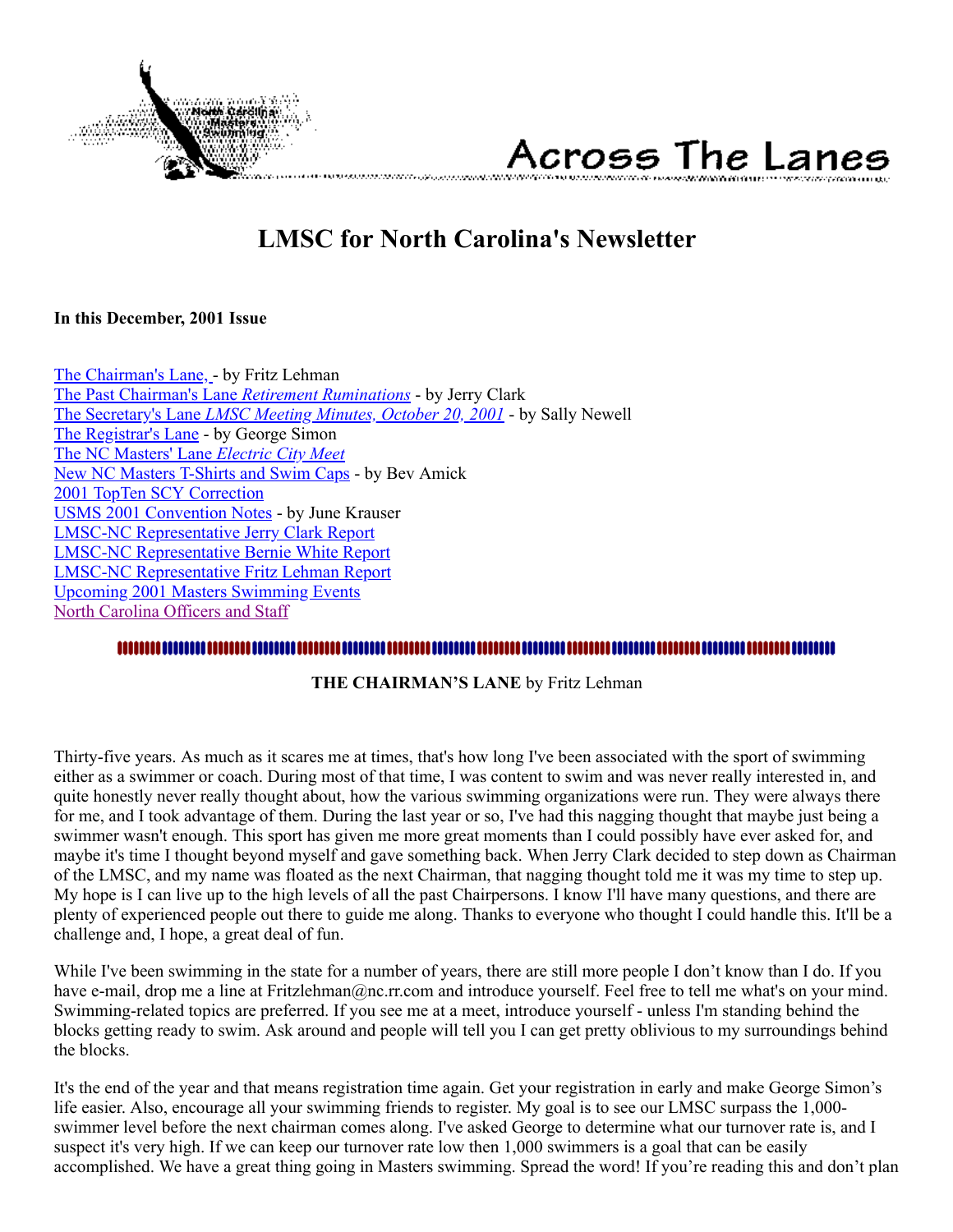

# Across The Lanes

## **LMSC for North Carolina's Newsletter**

#### <span id="page-0-1"></span>**In this December, 2001 Issue**

[The Chairman's Lane, -](#page-0-0) by Fritz Lehman [The Past Chairman's Lane](#page-1-0) *Retirement Ruminations* - by Jerry Clark The Secretary's Lane *[LMSC Meeting Minutes, October 20, 2001](#page-2-0)* - by Sally Newell [The Registrar's Lane](#page-3-0) - by George Simon [The NC Masters' Lane](#page-4-0) *Electric City Meet* [New NC Masters T-Shirts and Swim Caps](#page-5-0) - by Bev Amick [2001 TopTen SCY Correction](#page-5-1) [USMS 2001 Convention Notes](#page-5-2) - by June Krauser [LMSC-NC Representative Jerry Clark Report](#page-8-0) [LMSC-NC Representative Bernie White Report](#page-9-0) [LMSC-NC Representative Fritz Lehman Report](#page-9-1) [Upcoming 2001 Masters Swimming Events](#page-10-0) [North Carolina Officers and Staff](#page-10-1)

### <span id="page-0-0"></span>..............................

#### **THE CHAIRMAN'S LANE** by Fritz Lehman

Thirty-five years. As much as it scares me at times, that's how long I've been associated with the sport of swimming either as a swimmer or coach. During most of that time, I was content to swim and was never really interested in, and quite honestly never really thought about, how the various swimming organizations were run. They were always there for me, and I took advantage of them. During the last year or so, I've had this nagging thought that maybe just being a swimmer wasn't enough. This sport has given me more great moments than I could possibly have ever asked for, and maybe it's time I thought beyond myself and gave something back. When Jerry Clark decided to step down as Chairman of the LMSC, and my name was floated as the next Chairman, that nagging thought told me it was my time to step up. My hope is I can live up to the high levels of all the past Chairpersons. I know I'll have many questions, and there are plenty of experienced people out there to guide me along. Thanks to everyone who thought I could handle this. It'll be a challenge and, I hope, a great deal of fun.

While I've been swimming in the state for a number of years, there are still more people I don't know than I do. If you have e-mail, drop me a line at Fritzlehman@nc.rr.com and introduce yourself. Feel free to tell me what's on your mind. Swimming-related topics are preferred. If you see me at a meet, introduce yourself - unless I'm standing behind the blocks getting ready to swim. Ask around and people will tell you I can get pretty oblivious to my surroundings behind the blocks.

It's the end of the year and that means registration time again. Get your registration in early and make George Simon's life easier. Also, encourage all your swimming friends to register. My goal is to see our LMSC surpass the 1,000 swimmer level before the next chairman comes along. I've asked George to determine what our turnover rate is, and I suspect it's very high. If we can keep our turnover rate low then 1,000 swimmers is a goal that can be easily accomplished. We have a great thing going in Masters swimming. Spread the word! If you're reading this and don't plan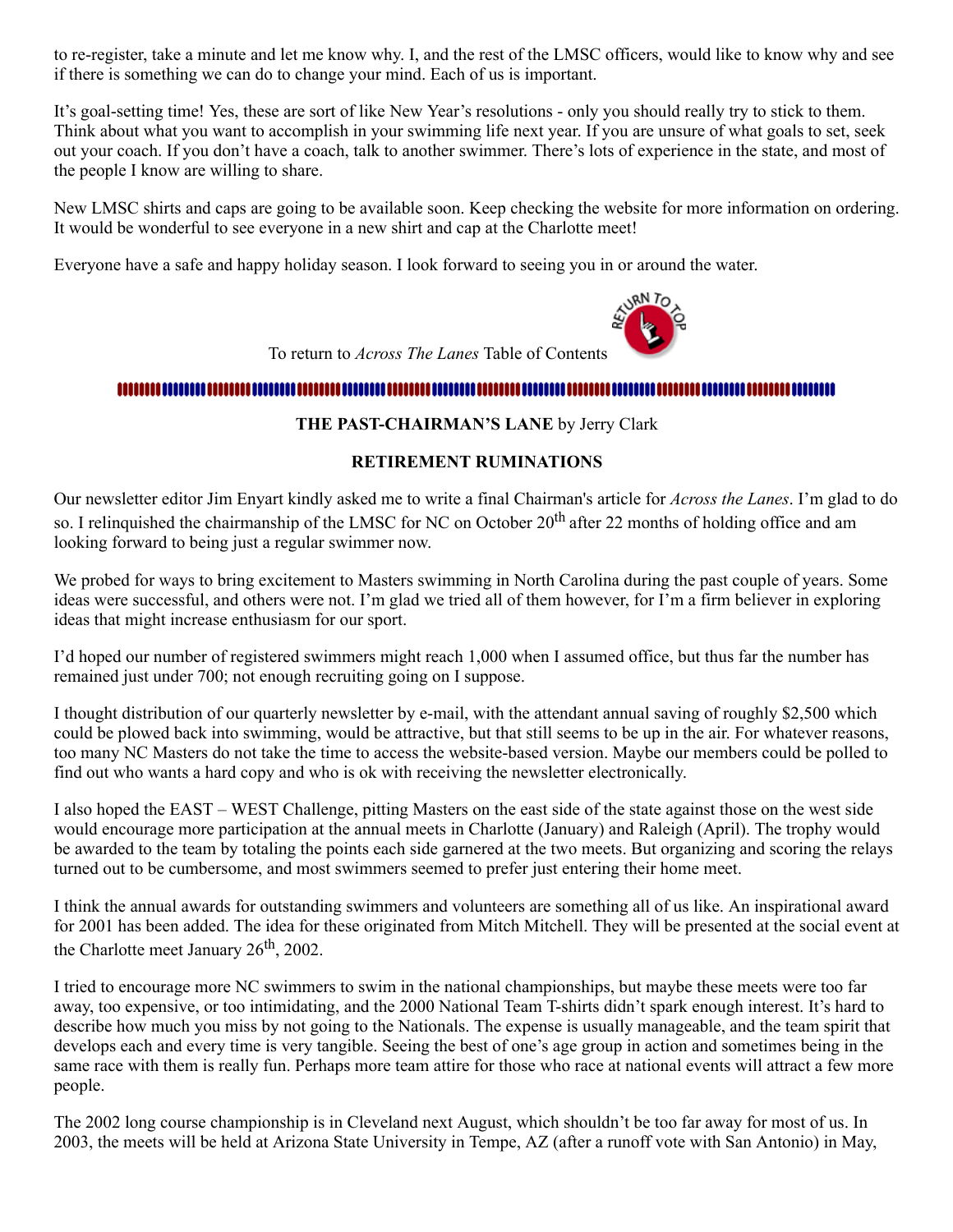to re-register, take a minute and let me know why. I, and the rest of the LMSC officers, would like to know why and see if there is something we can do to change your mind. Each of us is important.

It's goal-setting time! Yes, these are sort of like New Year's resolutions - only you should really try to stick to them. Think about what you want to accomplish in your swimming life next year. If you are unsure of what goals to set, seek out your coach. If you don't have a coach, talk to another swimmer. There's lots of experience in the state, and most of the people I know are willing to share.

New LMSC shirts and caps are going to be available soon. Keep checking the website for more information on ordering. It would be wonderful to see everyone in a new shirt and cap at the Charlotte meet!

Everyone have a safe and happy holiday season. I look forward to seeing you in or around the water.



To return to *Across The Lanes* Table of Contents

#### <span id="page-1-0"></span>

#### **THE PAST-CHAIRMAN'S LANE** by Jerry Clark

#### **RETIREMENT RUMINATIONS**

Our newsletter editor Jim Enyart kindly asked me to write a final Chairman's article for *Across the Lanes*. I'm glad to do so. I relinguished the chairmanship of the LMSC for NC on October 20<sup>th</sup> after 22 months of holding office and am looking forward to being just a regular swimmer now.

We probed for ways to bring excitement to Masters swimming in North Carolina during the past couple of years. Some ideas were successful, and others were not. I'm glad we tried all of them however, for I'm a firm believer in exploring ideas that might increase enthusiasm for our sport.

I'd hoped our number of registered swimmers might reach 1,000 when I assumed office, but thus far the number has remained just under 700; not enough recruiting going on I suppose.

I thought distribution of our quarterly newsletter by e-mail, with the attendant annual saving of roughly \$2,500 which could be plowed back into swimming, would be attractive, but that still seems to be up in the air. For whatever reasons, too many NC Masters do not take the time to access the website-based version. Maybe our members could be polled to find out who wants a hard copy and who is ok with receiving the newsletter electronically.

I also hoped the EAST – WEST Challenge, pitting Masters on the east side of the state against those on the west side would encourage more participation at the annual meets in Charlotte (January) and Raleigh (April). The trophy would be awarded to the team by totaling the points each side garnered at the two meets. But organizing and scoring the relays turned out to be cumbersome, and most swimmers seemed to prefer just entering their home meet.

I think the annual awards for outstanding swimmers and volunteers are something all of us like. An inspirational award for 2001 has been added. The idea for these originated from Mitch Mitchell. They will be presented at the social event at the Charlotte meet January  $26<sup>th</sup>$ , 2002.

I tried to encourage more NC swimmers to swim in the national championships, but maybe these meets were too far away, too expensive, or too intimidating, and the 2000 National Team T-shirts didn't spark enough interest. It's hard to describe how much you miss by not going to the Nationals. The expense is usually manageable, and the team spirit that develops each and every time is very tangible. Seeing the best of one's age group in action and sometimes being in the same race with them is really fun. Perhaps more team attire for those who race at national events will attract a few more people.

The 2002 long course championship is in Cleveland next August, which shouldn't be too far away for most of us. In 2003, the meets will be held at Arizona State University in Tempe, AZ (after a runoff vote with San Antonio) in May,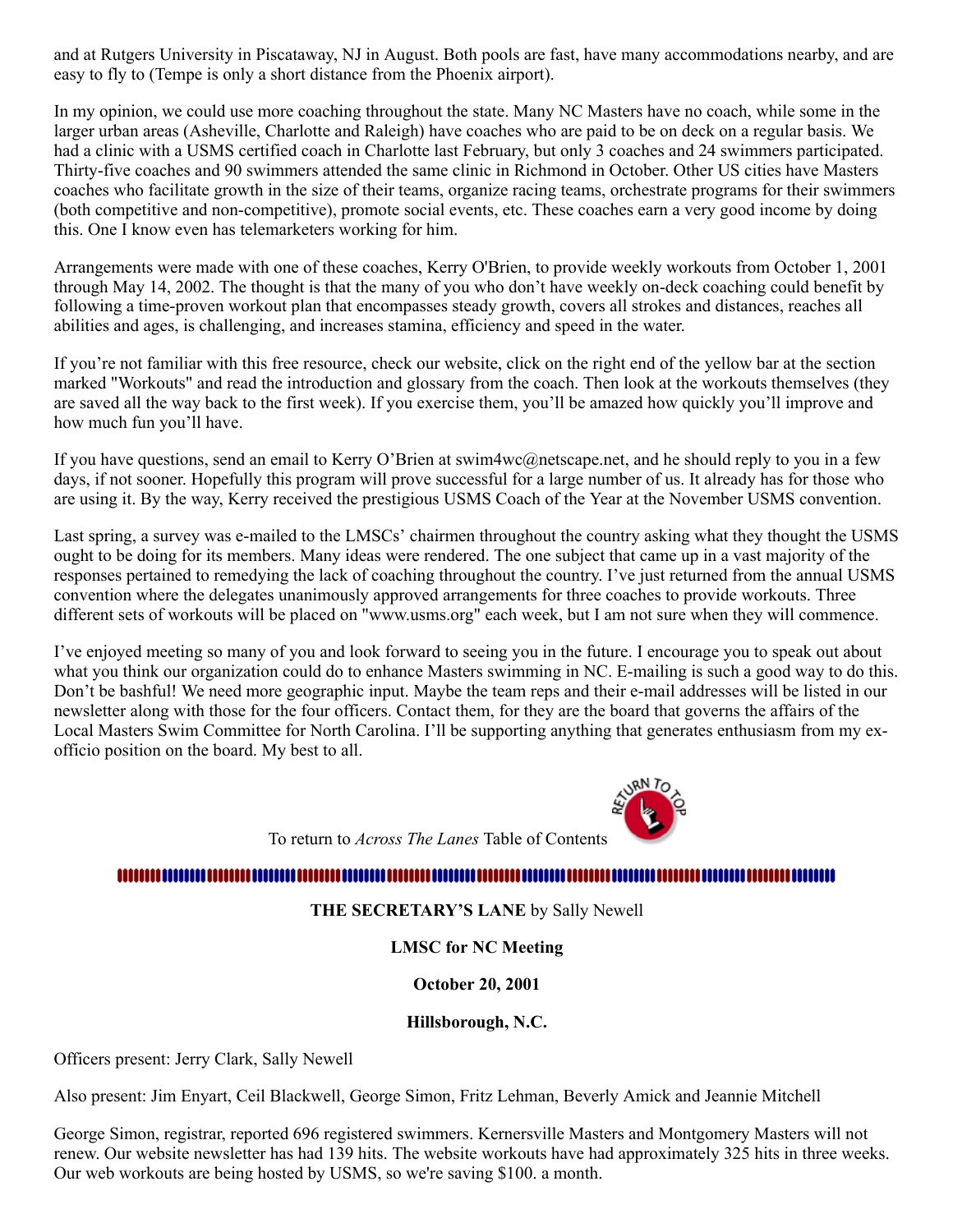and at Rutgers University in Piscataway, NJ in August. Both pools are fast, have many accommodations nearby, and are easy to fly to (Tempe is only a short distance from the Phoenix airport).

In my opinion, we could use more coaching throughout the state. Many NC Masters have no coach, while some in the larger urban areas (Asheville, Charlotte and Raleigh) have coaches who are paid to be on deck on a regular basis. We had a clinic with a USMS certified coach in Charlotte last February, but only 3 coaches and 24 swimmers participated. Thirty-five coaches and 90 swimmers attended the same clinic in Richmond in October. Other US cities have Masters coaches who facilitate growth in the size of their teams, organize racing teams, orchestrate programs for their swimmers (both competitive and non-competitive), promote social events, etc. These coaches earn a very good income by doing this. One I know even has telemarketers working for him.

Arrangements were made with one of these coaches, Kerry O'Brien, to provide weekly workouts from October 1, 2001 through May 14, 2002. The thought is that the many of you who don't have weekly on-deck coaching could benefit by following a time-proven workout plan that encompasses steady growth, covers all strokes and distances, reaches all abilities and ages, is challenging, and increases stamina, efficiency and speed in the water.

If you're not familiar with this free resource, check our website, click on the right end of the yellow bar at the section marked "Workouts" and read the introduction and glossary from the coach. Then look at the workouts themselves (they are saved all the way back to the first week). If you exercise them, you'll be amazed how quickly you'll improve and how much fun you'll have.

If you have questions, send an email to Kerry O'Brien at swim4wc@netscape.net, and he should reply to you in a few days, if not sooner. Hopefully this program will prove successful for a large number of us. It already has for those who are using it. By the way, Kerry received the prestigious USMS Coach of the Year at the November USMS convention.

Last spring, a survey was e-mailed to the LMSCs' chairmen throughout the country asking what they thought the USMS ought to be doing for its members. Many ideas were rendered. The one subject that came up in a vast majority of the responses pertained to remedying the lack of coaching throughout the country. I've just returned from the annual USMS convention where the delegates unanimously approved arrangements for three coaches to provide workouts. Three different sets of workouts will be placed on "www.usms.org" each week, but I am not sure when they will commence.

I've enjoyed meeting so many of you and look forward to seeing you in the future. I encourage you to speak out about what you think our organization could do to enhance Masters swimming in NC. E-mailing is such a good way to do this. Don't be bashful! We need more geographic input. Maybe the team reps and their e-mail addresses will be listed in our newsletter along with those for the four officers. Contact them, for they are the board that governs the affairs of the Local Masters Swim Committee for North Carolina. I'll be supporting anything that generates enthusiasm from my exofficio position on the board. My best to all.



To return to *Across The Lanes* Table of Contents

#### <span id="page-2-0"></span>

#### **THE SECRETARY'S LANE** by Sally Newell

**LMSC for NC Meeting**

#### **October 20, 2001**

### **Hillsborough, N.C.**

Officers present: Jerry Clark, Sally Newell

Also present: Jim Enyart, Ceil Blackwell, George Simon, Fritz Lehman, Beverly Amick and Jeannie Mitchell

George Simon, registrar, reported 696 registered swimmers. Kernersville Masters and Montgomery Masters will not renew. Our website newsletter has had 139 hits. The website workouts have had approximately 325 hits in three weeks. Our web workouts are being hosted by USMS, so we're saving \$100. a month.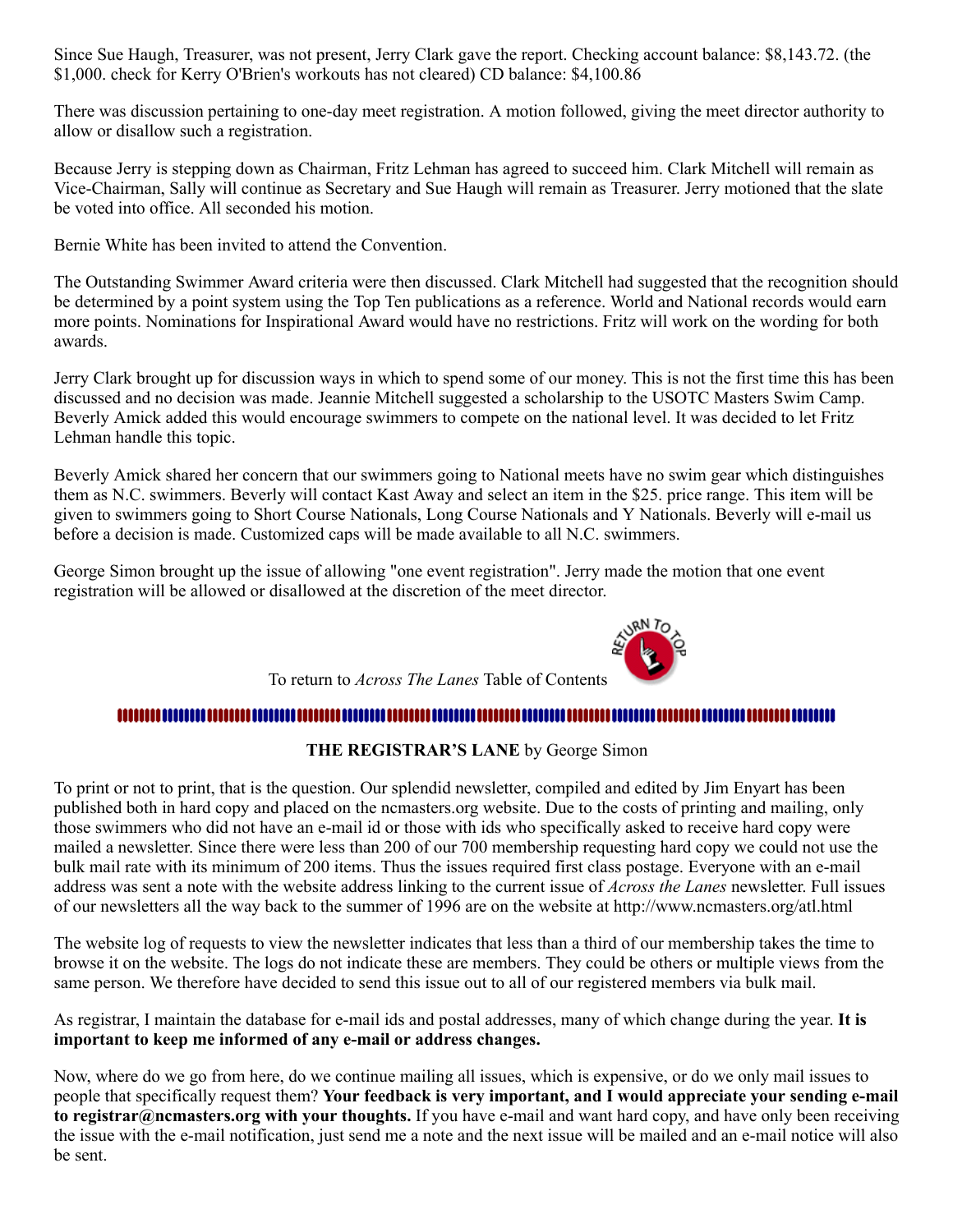Since Sue Haugh, Treasurer, was not present, Jerry Clark gave the report. Checking account balance: \$8,143.72. (the \$1,000. check for Kerry O'Brien's workouts has not cleared) CD balance: \$4,100.86

There was discussion pertaining to one-day meet registration. A motion followed, giving the meet director authority to allow or disallow such a registration.

Because Jerry is stepping down as Chairman, Fritz Lehman has agreed to succeed him. Clark Mitchell will remain as Vice-Chairman, Sally will continue as Secretary and Sue Haugh will remain as Treasurer. Jerry motioned that the slate be voted into office. All seconded his motion.

Bernie White has been invited to attend the Convention.

The Outstanding Swimmer Award criteria were then discussed. Clark Mitchell had suggested that the recognition should be determined by a point system using the Top Ten publications as a reference. World and National records would earn more points. Nominations for Inspirational Award would have no restrictions. Fritz will work on the wording for both awards.

Jerry Clark brought up for discussion ways in which to spend some of our money. This is not the first time this has been discussed and no decision was made. Jeannie Mitchell suggested a scholarship to the USOTC Masters Swim Camp. Beverly Amick added this would encourage swimmers to compete on the national level. It was decided to let Fritz Lehman handle this topic.

Beverly Amick shared her concern that our swimmers going to National meets have no swim gear which distinguishes them as N.C. swimmers. Beverly will contact Kast Away and select an item in the \$25. price range. This item will be given to swimmers going to Short Course Nationals, Long Course Nationals and Y Nationals. Beverly will e-mail us before a decision is made. Customized caps will be made available to all N.C. swimmers.

George Simon brought up the issue of allowing "one event registration". Jerry made the motion that one event registration will be allowed or disallowed at the discretion of the meet director.



To return to *Across The Lanes* Table of Contents

### 

**THE REGISTRAR'S LANE** by George Simon

<span id="page-3-0"></span>To print or not to print, that is the question. Our splendid newsletter, compiled and edited by Jim Enyart has been published both in hard copy and placed on the ncmasters.org website. Due to the costs of printing and mailing, only those swimmers who did not have an e-mail id or those with ids who specifically asked to receive hard copy were mailed a newsletter. Since there were less than 200 of our 700 membership requesting hard copy we could not use the bulk mail rate with its minimum of 200 items. Thus the issues required first class postage. Everyone with an e-mail address was sent a note with the website address linking to the current issue of *Across the Lanes* newsletter. Full issues of our newsletters all the way back to the summer of 1996 are on the website at http://www.ncmasters.org/atl.html

The website log of requests to view the newsletter indicates that less than a third of our membership takes the time to browse it on the website. The logs do not indicate these are members. They could be others or multiple views from the same person. We therefore have decided to send this issue out to all of our registered members via bulk mail.

As registrar, I maintain the database for e-mail ids and postal addresses, many of which change during the year. **It is important to keep me informed of any e-mail or address changes.**

Now, where do we go from here, do we continue mailing all issues, which is expensive, or do we only mail issues to people that specifically request them? **Your feedback is very important, and I would appreciate your sending e-mail to registrar@ncmasters.org with your thoughts.** If you have e-mail and want hard copy, and have only been receiving the issue with the e-mail notification, just send me a note and the next issue will be mailed and an e-mail notice will also be sent.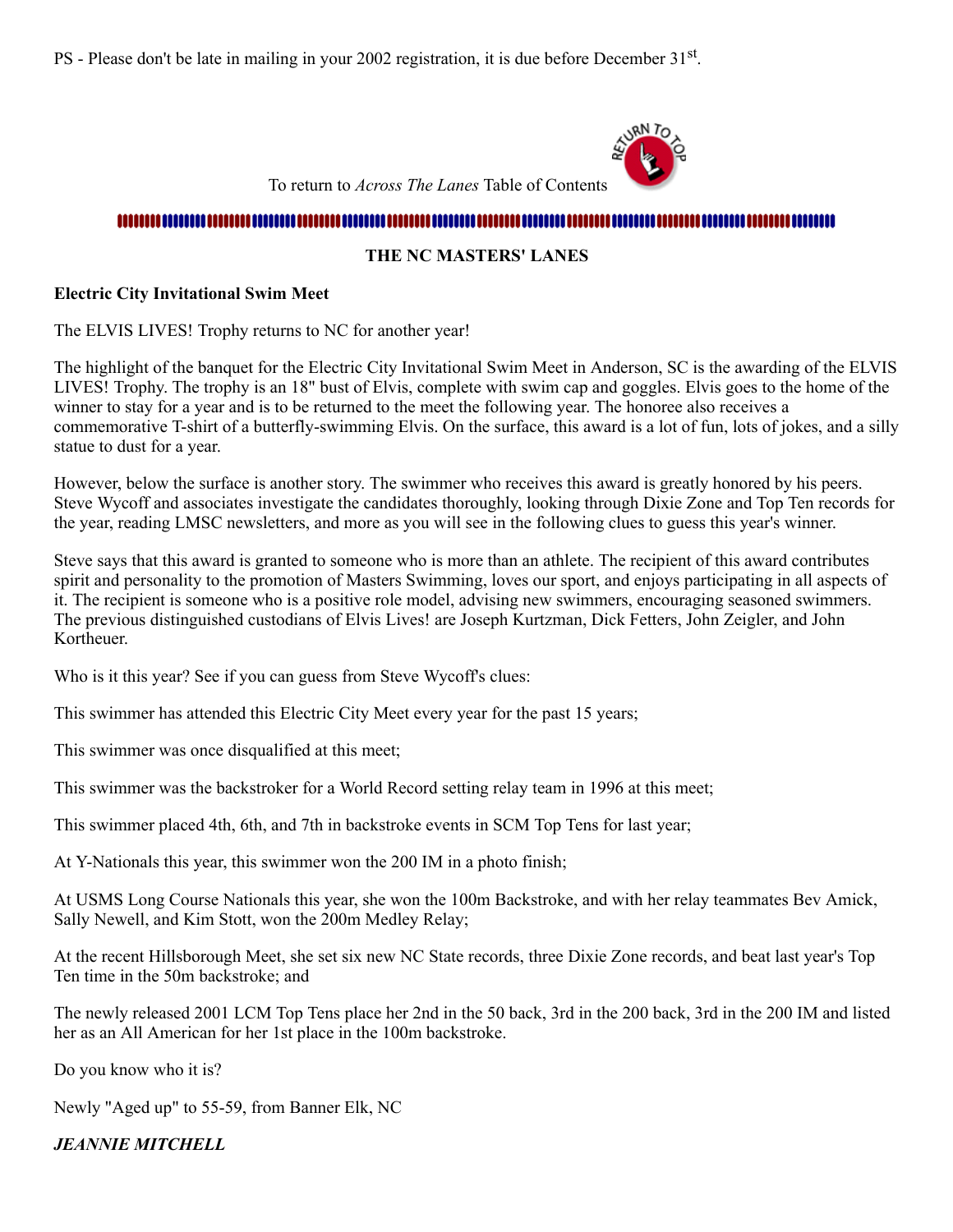PS - Please don't be late in mailing in your 2002 registration, it is due before December 31<sup>st</sup>.



To return to *Across The Lanes* Table of Contents

#### 

#### **THE NC MASTERS' LANES**

#### <span id="page-4-0"></span>**Electric City Invitational Swim Meet**

The ELVIS LIVES! Trophy returns to NC for another year!

The highlight of the banquet for the Electric City Invitational Swim Meet in Anderson, SC is the awarding of the ELVIS LIVES! Trophy. The trophy is an 18" bust of Elvis, complete with swim cap and goggles. Elvis goes to the home of the winner to stay for a year and is to be returned to the meet the following year. The honoree also receives a commemorative T-shirt of a butterfly-swimming Elvis. On the surface, this award is a lot of fun, lots of jokes, and a silly statue to dust for a year.

However, below the surface is another story. The swimmer who receives this award is greatly honored by his peers. Steve Wycoff and associates investigate the candidates thoroughly, looking through Dixie Zone and Top Ten records for the year, reading LMSC newsletters, and more as you will see in the following clues to guess this year's winner.

Steve says that this award is granted to someone who is more than an athlete. The recipient of this award contributes spirit and personality to the promotion of Masters Swimming, loves our sport, and enjoys participating in all aspects of it. The recipient is someone who is a positive role model, advising new swimmers, encouraging seasoned swimmers. The previous distinguished custodians of Elvis Lives! are Joseph Kurtzman, Dick Fetters, John Zeigler, and John Kortheuer.

Who is it this year? See if you can guess from Steve Wycoff's clues:

This swimmer has attended this Electric City Meet every year for the past 15 years;

This swimmer was once disqualified at this meet;

This swimmer was the backstroker for a World Record setting relay team in 1996 at this meet;

This swimmer placed 4th, 6th, and 7th in backstroke events in SCM Top Tens for last year;

At Y-Nationals this year, this swimmer won the 200 IM in a photo finish;

At USMS Long Course Nationals this year, she won the 100m Backstroke, and with her relay teammates Bev Amick, Sally Newell, and Kim Stott, won the 200m Medley Relay;

At the recent Hillsborough Meet, she set six new NC State records, three Dixie Zone records, and beat last year's Top Ten time in the 50m backstroke; and

The newly released 2001 LCM Top Tens place her 2nd in the 50 back, 3rd in the 200 back, 3rd in the 200 IM and listed her as an All American for her 1st place in the 100m backstroke.

Do you know who it is?

Newly "Aged up" to 55-59, from Banner Elk, NC

*JEANNIE MITCHELL*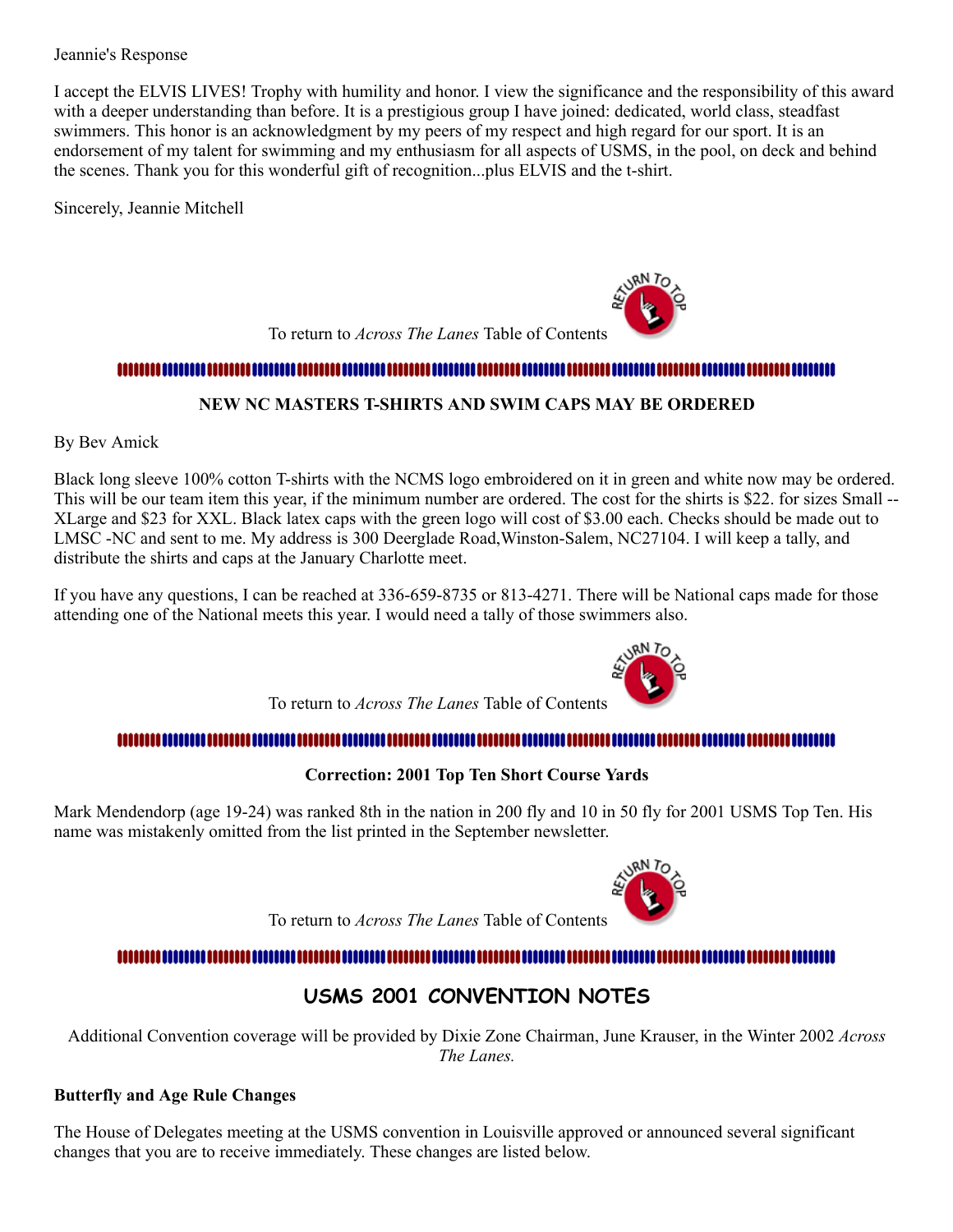Jeannie's Response

I accept the ELVIS LIVES! Trophy with humility and honor. I view the significance and the responsibility of this award with a deeper understanding than before. It is a prestigious group I have joined: dedicated, world class, steadfast swimmers. This honor is an acknowledgment by my peers of my respect and high regard for our sport. It is an endorsement of my talent for swimming and my enthusiasm for all aspects of USMS, in the pool, on deck and behind the scenes. Thank you for this wonderful gift of recognition...plus ELVIS and the t-shirt.

Sincerely, Jeannie Mitchell

To return to *Across The Lanes* Table of Contents

### 

#### **NEW NC MASTERS T-SHIRTS AND SWIM CAPS MAY BE ORDERED**

<span id="page-5-0"></span>By Bev Amick

Black long sleeve 100% cotton T-shirts with the NCMS logo embroidered on it in green and white now may be ordered. This will be our team item this year, if the minimum number are ordered. The cost for the shirts is \$22. for sizes Small -- XLarge and \$23 for XXL. Black latex caps with the green logo will cost of \$3.00 each. Checks should be made out to LMSC -NC and sent to me. My address is 300 Deerglade Road,Winston-Salem, NC27104. I will keep a tally, and distribute the shirts and caps at the January Charlotte meet.

If you have any questions, I can be reached at 336-659-8735 or 813-4271. There will be National caps made for those attending one of the National meets this year. I would need a tally of those swimmers also.

To return to *Across The Lanes* Table of Contents

### 

### **Correction: 2001 Top Ten Short Course Yards**

<span id="page-5-1"></span>Mark Mendendorp (age 19-24) was ranked 8th in the nation in 200 fly and 10 in 50 fly for 2001 USMS Top Ten. His name was mistakenly omitted from the list printed in the September newsletter.

To return to *Across The Lanes* Table of Contents

#### 

### **USMS 2001 CONVENTION NOTES**

<span id="page-5-2"></span>Additional Convention coverage will be provided by Dixie Zone Chairman, June Krauser, in the Winter 2002 *Across The Lanes.*

#### **Butterfly and Age Rule Changes**

The House of Delegates meeting at the USMS convention in Louisville approved or announced several significant changes that you are to receive immediately. These changes are listed below.



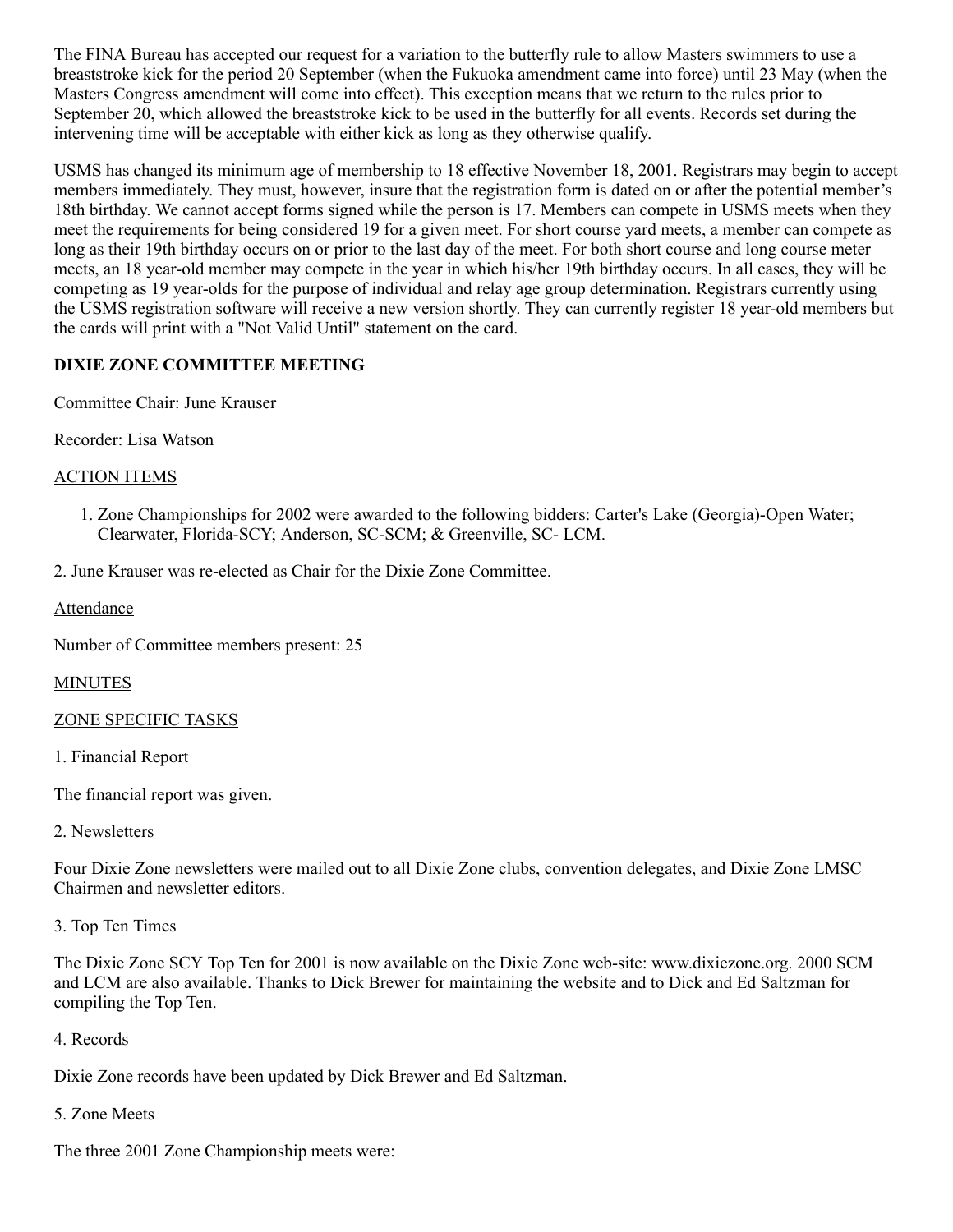The FINA Bureau has accepted our request for a variation to the butterfly rule to allow Masters swimmers to use a breaststroke kick for the period 20 September (when the Fukuoka amendment came into force) until 23 May (when the Masters Congress amendment will come into effect). This exception means that we return to the rules prior to September 20, which allowed the breaststroke kick to be used in the butterfly for all events. Records set during the intervening time will be acceptable with either kick as long as they otherwise qualify.

USMS has changed its minimum age of membership to 18 effective November 18, 2001. Registrars may begin to accept members immediately. They must, however, insure that the registration form is dated on or after the potential member's 18th birthday. We cannot accept forms signed while the person is 17. Members can compete in USMS meets when they meet the requirements for being considered 19 for a given meet. For short course yard meets, a member can compete as long as their 19th birthday occurs on or prior to the last day of the meet. For both short course and long course meter meets, an 18 year-old member may compete in the year in which his/her 19th birthday occurs. In all cases, they will be competing as 19 year-olds for the purpose of individual and relay age group determination. Registrars currently using the USMS registration software will receive a new version shortly. They can currently register 18 year-old members but the cards will print with a "Not Valid Until" statement on the card.

#### **DIXIE ZONE COMMITTEE MEETING**

Committee Chair: June Krauser

Recorder: Lisa Watson

#### ACTION ITEMS

1. Zone Championships for 2002 were awarded to the following bidders: Carter's Lake (Georgia)-Open Water; Clearwater, Florida-SCY; Anderson, SC-SCM; & Greenville, SC- LCM.

2. June Krauser was re-elected as Chair for the Dixie Zone Committee.

Attendance

Number of Committee members present: 25

#### **MINUTES**

#### ZONE SPECIFIC TASKS

1. Financial Report

The financial report was given.

2. Newsletters

Four Dixie Zone newsletters were mailed out to all Dixie Zone clubs, convention delegates, and Dixie Zone LMSC Chairmen and newsletter editors.

3. Top Ten Times

The Dixie Zone SCY Top Ten for 2001 is now available on the Dixie Zone web-site: www.dixiezone.org. 2000 SCM and LCM are also available. Thanks to Dick Brewer for maintaining the website and to Dick and Ed Saltzman for compiling the Top Ten.

#### 4. Records

Dixie Zone records have been updated by Dick Brewer and Ed Saltzman.

### 5. Zone Meets

The three 2001 Zone Championship meets were: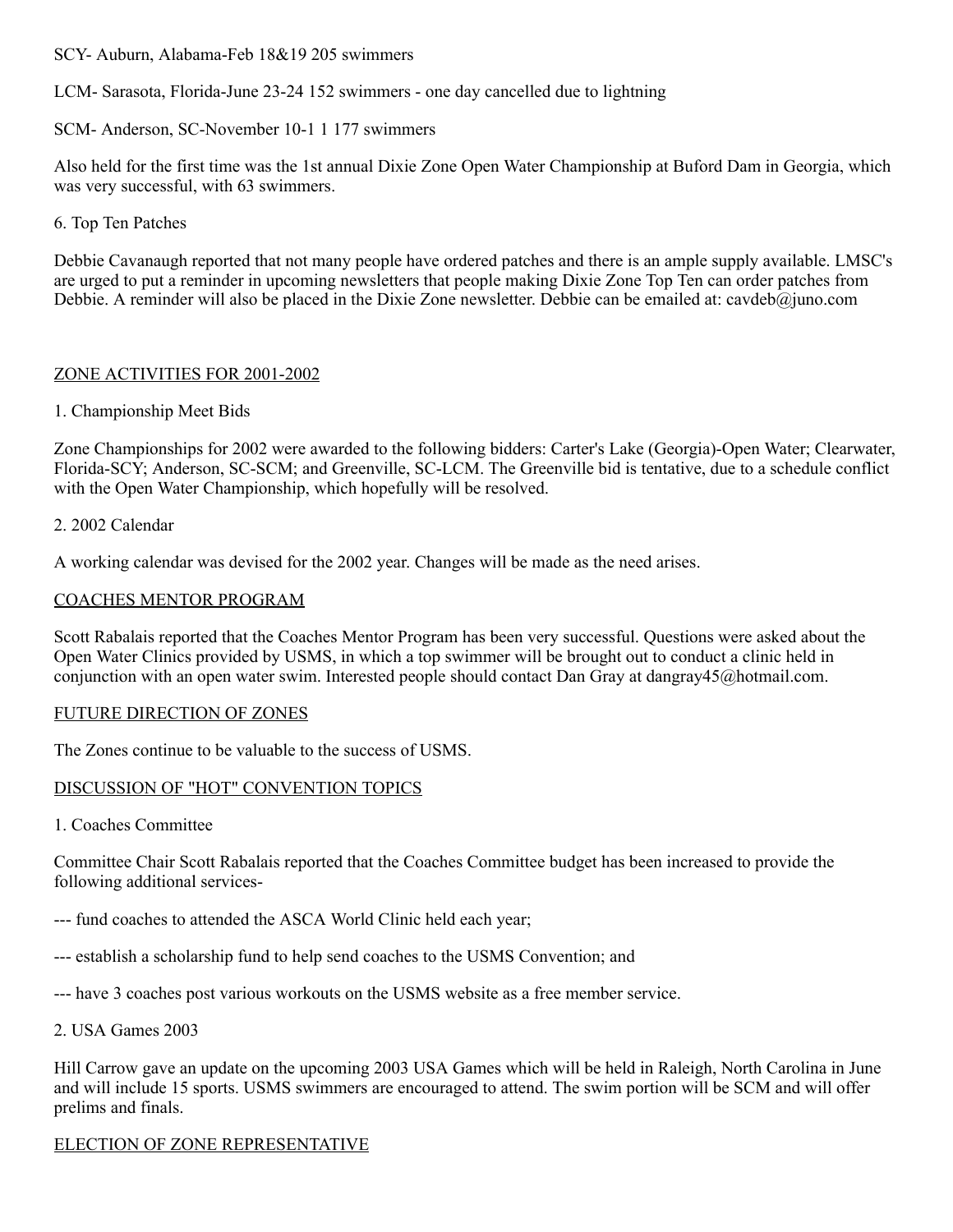SCY- Auburn, Alabama-Feb 18&19 205 swimmers

LCM- Sarasota, Florida-June 23-24 152 swimmers - one day cancelled due to lightning

SCM- Anderson, SC-November 10-1 1 177 swimmers

Also held for the first time was the 1st annual Dixie Zone Open Water Championship at Buford Dam in Georgia, which was very successful, with 63 swimmers.

6. Top Ten Patches

Debbie Cavanaugh reported that not many people have ordered patches and there is an ample supply available. LMSC's are urged to put a reminder in upcoming newsletters that people making Dixie Zone Top Ten can order patches from Debbie. A reminder will also be placed in the Dixie Zone newsletter. Debbie can be emailed at: cavdeb@juno.com

#### ZONE ACTIVITIES FOR 2001-2002

#### 1. Championship Meet Bids

Zone Championships for 2002 were awarded to the following bidders: Carter's Lake (Georgia)-Open Water; Clearwater, Florida-SCY; Anderson, SC-SCM; and Greenville, SC-LCM. The Greenville bid is tentative, due to a schedule conflict with the Open Water Championship, which hopefully will be resolved.

#### 2. 2002 Calendar

A working calendar was devised for the 2002 year. Changes will be made as the need arises.

#### COACHES MENTOR PROGRAM

Scott Rabalais reported that the Coaches Mentor Program has been very successful. Questions were asked about the Open Water Clinics provided by USMS, in which a top swimmer will be brought out to conduct a clinic held in conjunction with an open water swim. Interested people should contact Dan Gray at dangray45@hotmail.com.

#### FUTURE DIRECTION OF ZONES

The Zones continue to be valuable to the success of USMS.

#### DISCUSSION OF "HOT" CONVENTION TOPICS

1. Coaches Committee

Committee Chair Scott Rabalais reported that the Coaches Committee budget has been increased to provide the following additional services-

- --- fund coaches to attended the ASCA World Clinic held each year;
- --- establish a scholarship fund to help send coaches to the USMS Convention; and
- --- have 3 coaches post various workouts on the USMS website as a free member service.
- 2. USA Games 2003

Hill Carrow gave an update on the upcoming 2003 USA Games which will be held in Raleigh, North Carolina in June and will include 15 sports. USMS swimmers are encouraged to attend. The swim portion will be SCM and will offer prelims and finals.

### ELECTION OF ZONE REPRESENTATIVE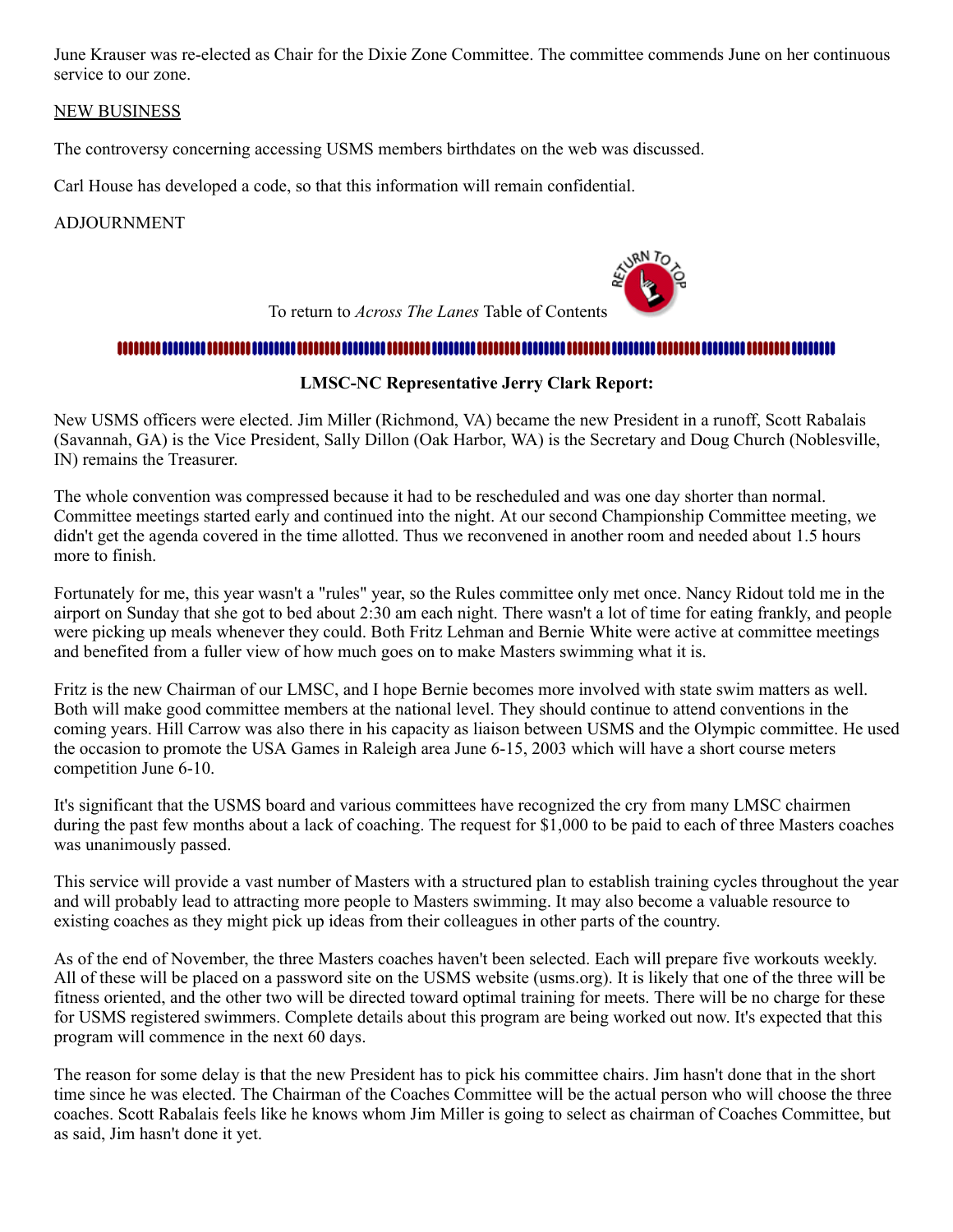June Krauser was re-elected as Chair for the Dixie Zone Committee. The committee commends June on her continuous service to our zone.

#### NEW BUSINESS

The controversy concerning accessing USMS members birthdates on the web was discussed.

Carl House has developed a code, so that this information will remain confidential.

#### ADJOURNMENT



## 

### **LMSC-NC Representative Jerry Clark Report:**

<span id="page-8-0"></span>New USMS officers were elected. Jim Miller (Richmond, VA) became the new President in a runoff, Scott Rabalais (Savannah, GA) is the Vice President, Sally Dillon (Oak Harbor, WA) is the Secretary and Doug Church (Noblesville, IN) remains the Treasurer.

The whole convention was compressed because it had to be rescheduled and was one day shorter than normal. Committee meetings started early and continued into the night. At our second Championship Committee meeting, we didn't get the agenda covered in the time allotted. Thus we reconvened in another room and needed about 1.5 hours more to finish.

Fortunately for me, this year wasn't a "rules" year, so the Rules committee only met once. Nancy Ridout told me in the airport on Sunday that she got to bed about 2:30 am each night. There wasn't a lot of time for eating frankly, and people were picking up meals whenever they could. Both Fritz Lehman and Bernie White were active at committee meetings and benefited from a fuller view of how much goes on to make Masters swimming what it is.

Fritz is the new Chairman of our LMSC, and I hope Bernie becomes more involved with state swim matters as well. Both will make good committee members at the national level. They should continue to attend conventions in the coming years. Hill Carrow was also there in his capacity as liaison between USMS and the Olympic committee. He used the occasion to promote the USA Games in Raleigh area June 6-15, 2003 which will have a short course meters competition June 6-10.

It's significant that the USMS board and various committees have recognized the cry from many LMSC chairmen during the past few months about a lack of coaching. The request for \$1,000 to be paid to each of three Masters coaches was unanimously passed.

This service will provide a vast number of Masters with a structured plan to establish training cycles throughout the year and will probably lead to attracting more people to Masters swimming. It may also become a valuable resource to existing coaches as they might pick up ideas from their colleagues in other parts of the country.

As of the end of November, the three Masters coaches haven't been selected. Each will prepare five workouts weekly. All of these will be placed on a password site on the USMS website (usms.org). It is likely that one of the three will be fitness oriented, and the other two will be directed toward optimal training for meets. There will be no charge for these for USMS registered swimmers. Complete details about this program are being worked out now. It's expected that this program will commence in the next 60 days.

The reason for some delay is that the new President has to pick his committee chairs. Jim hasn't done that in the short time since he was elected. The Chairman of the Coaches Committee will be the actual person who will choose the three coaches. Scott Rabalais feels like he knows whom Jim Miller is going to select as chairman of Coaches Committee, but as said, Jim hasn't done it yet.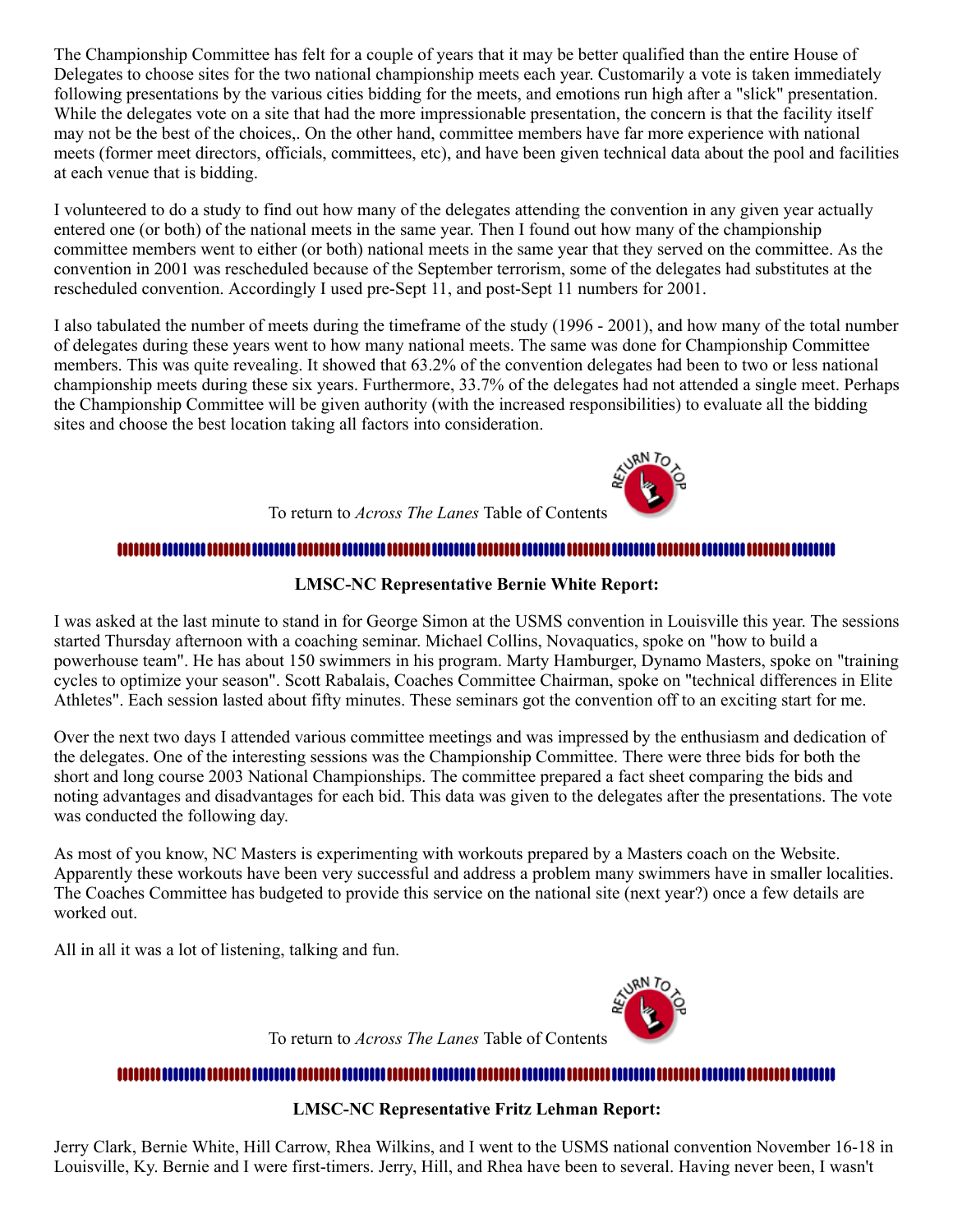The Championship Committee has felt for a couple of years that it may be better qualified than the entire House of Delegates to choose sites for the two national championship meets each year. Customarily a vote is taken immediately following presentations by the various cities bidding for the meets, and emotions run high after a "slick" presentation. While the delegates vote on a site that had the more impressionable presentation, the concern is that the facility itself may not be the best of the choices,. On the other hand, committee members have far more experience with national meets (former meet directors, officials, committees, etc), and have been given technical data about the pool and facilities at each venue that is bidding.

I volunteered to do a study to find out how many of the delegates attending the convention in any given year actually entered one (or both) of the national meets in the same year. Then I found out how many of the championship committee members went to either (or both) national meets in the same year that they served on the committee. As the convention in 2001 was rescheduled because of the September terrorism, some of the delegates had substitutes at the rescheduled convention. Accordingly I used pre-Sept 11, and post-Sept 11 numbers for 2001.

I also tabulated the number of meets during the timeframe of the study (1996 - 2001), and how many of the total number of delegates during these years went to how many national meets. The same was done for Championship Committee members. This was quite revealing. It showed that 63.2% of the convention delegates had been to two or less national championship meets during these six years. Furthermore, 33.7% of the delegates had not attended a single meet. Perhaps the Championship Committee will be given authority (with the increased responsibilities) to evaluate all the bidding sites and choose the best location taking all factors into consideration.



## To return to *Across The Lanes* Table of Contents

#### ,,,,,,,,,,,,,,,,,,,,,,,,,,,,,,

#### **LMSC-NC Representative Bernie White Report:**

<span id="page-9-0"></span>I was asked at the last minute to stand in for George Simon at the USMS convention in Louisville this year. The sessions started Thursday afternoon with a coaching seminar. Michael Collins, Novaquatics, spoke on "how to build a powerhouse team". He has about 150 swimmers in his program. Marty Hamburger, Dynamo Masters, spoke on "training cycles to optimize your season". Scott Rabalais, Coaches Committee Chairman, spoke on "technical differences in Elite Athletes". Each session lasted about fifty minutes. These seminars got the convention off to an exciting start for me.

Over the next two days I attended various committee meetings and was impressed by the enthusiasm and dedication of the delegates. One of the interesting sessions was the Championship Committee. There were three bids for both the short and long course 2003 National Championships. The committee prepared a fact sheet comparing the bids and noting advantages and disadvantages for each bid. This data was given to the delegates after the presentations. The vote was conducted the following day.

As most of you know, NC Masters is experimenting with workouts prepared by a Masters coach on the Website. Apparently these workouts have been very successful and address a problem many swimmers have in smaller localities. The Coaches Committee has budgeted to provide this service on the national site (next year?) once a few details are worked out.

All in all it was a lot of listening, talking and fun.



To return to *Across The Lanes* Table of Contents

#### 

#### **LMSC-NC Representative Fritz Lehman Report:**

<span id="page-9-1"></span>Jerry Clark, Bernie White, Hill Carrow, Rhea Wilkins, and I went to the USMS national convention November 16-18 in Louisville, Ky. Bernie and I were first-timers. Jerry, Hill, and Rhea have been to several. Having never been, I wasn't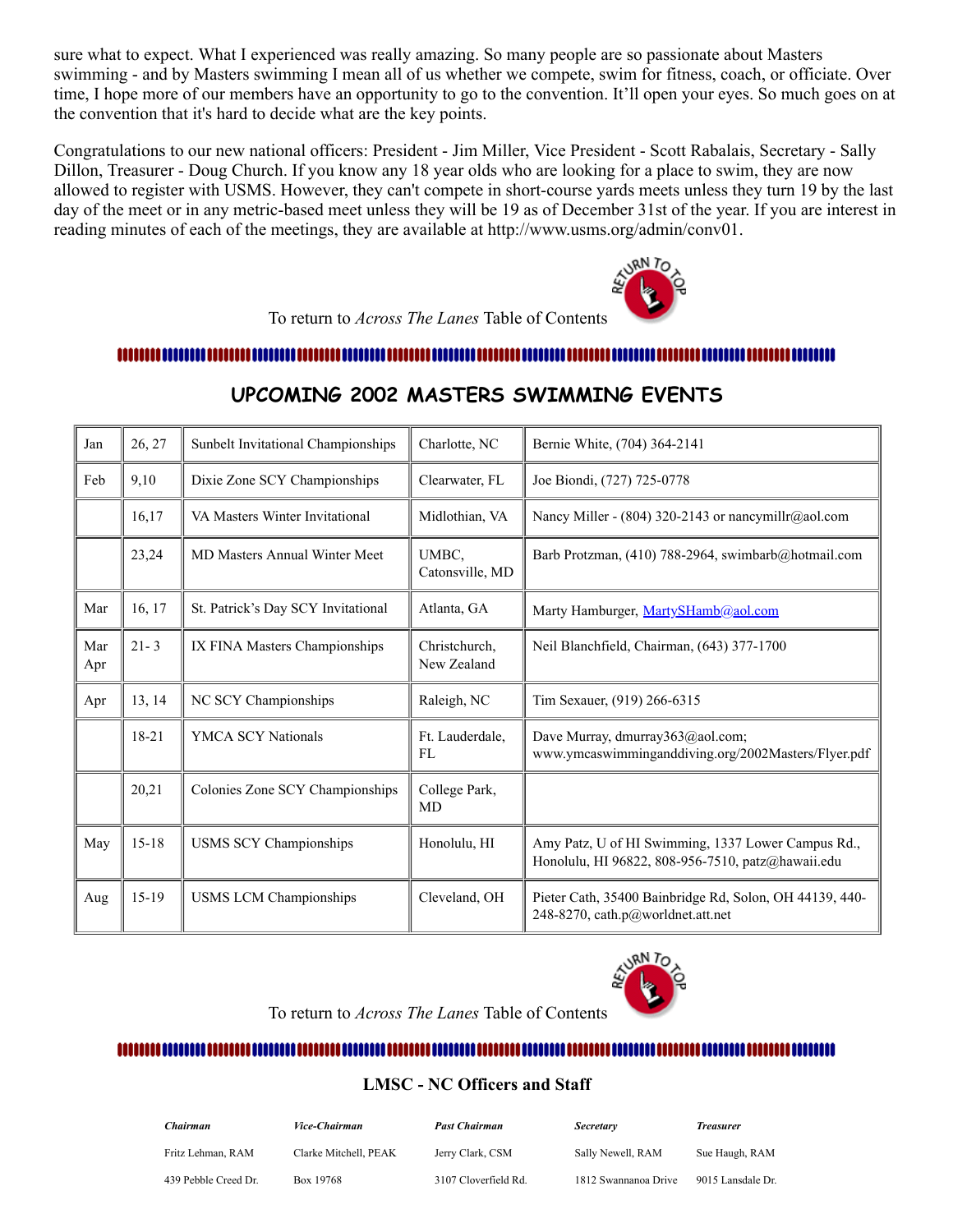sure what to expect. What I experienced was really amazing. So many people are so passionate about Masters swimming - and by Masters swimming I mean all of us whether we compete, swim for fitness, coach, or officiate. Over time, I hope more of our members have an opportunity to go to the convention. It'll open your eyes. So much goes on at the convention that it's hard to decide what are the key points.

Congratulations to our new national officers: President - Jim Miller, Vice President - Scott Rabalais, Secretary - Sally Dillon, Treasurer - Doug Church. If you know any 18 year olds who are looking for a place to swim, they are now allowed to register with USMS. However, they can't compete in short-course yards meets unless they turn 19 by the last day of the meet or in any metric-based meet unless they will be 19 as of December 31st of the year. If you are interest in reading minutes of each of the meetings, they are available at http://www.usms.org/admin/conv01.



To return to *Across The Lanes* Table of Contents

<span id="page-10-0"></span>

| Jan        | 26, 27    | Sunbelt Invitational Championships   | Charlotte, NC                | Bernie White, (704) 364-2141                                                                            |  |
|------------|-----------|--------------------------------------|------------------------------|---------------------------------------------------------------------------------------------------------|--|
| Feb        | 9,10      | Dixie Zone SCY Championships         | Clearwater, FL               | Joe Biondi, (727) 725-0778                                                                              |  |
|            | 16,17     | VA Masters Winter Invitational       | Midlothian, VA               | Nancy Miller - (804) 320-2143 or nancymillr@aol.com                                                     |  |
|            | 23,24     | <b>MD Masters Annual Winter Meet</b> | UMBC.<br>Catonsville, MD     | Barb Protzman, (410) 788-2964, swimbarb@hotmail.com                                                     |  |
| Mar        | 16, 17    | St. Patrick's Day SCY Invitational   | Atlanta, GA                  | Marty Hamburger, MartySHamb@aol.com                                                                     |  |
| Mar<br>Apr | $21 - 3$  | IX FINA Masters Championships        | Christchurch,<br>New Zealand | Neil Blanchfield, Chairman, (643) 377-1700                                                              |  |
| Apr        | 13, 14    | NC SCY Championships                 | Raleigh, NC                  | Tim Sexauer, (919) 266-6315                                                                             |  |
|            | 18-21     | <b>YMCA SCY Nationals</b>            | Ft. Lauderdale,<br>FL        | Dave Murray, dmurray363@aol.com;<br>www.ymcaswimminganddiving.org/2002Masters/Flyer.pdf                 |  |
|            | 20,21     | Colonies Zone SCY Championships      | College Park,<br>MD          |                                                                                                         |  |
| May        | $15 - 18$ | <b>USMS SCY Championships</b>        | Honolulu, HI                 | Amy Patz, U of HI Swimming, 1337 Lower Campus Rd.,<br>Honolulu, HI 96822, 808-956-7510, patz@hawaii.edu |  |
| Aug        | $15-19$   | <b>USMS LCM Championships</b>        | Cleveland, OH                | Pieter Cath, 35400 Bainbridge Rd, Solon, OH 44139, 440-<br>248-8270, cath.p@worldnet.att.net            |  |

### **UPCOMING 2002 MASTERS SWIMMING EVENTS**



To return to *Across The Lanes* Table of Contents

#### <span id="page-10-1"></span>

#### **LMSC - NC Officers and Staff**

| Chairman             | <i><b>Vice-Chairman</b></i> | <b>Past Chairman</b> | <b>Secretary</b>     | Treasurer         |
|----------------------|-----------------------------|----------------------|----------------------|-------------------|
| Fritz Lehman, RAM    | Clarke Mitchell, PEAK       | Jerry Clark, CSM     | Sally Newell, RAM    | Sue Haugh, RAM    |
| 439 Pebble Creed Dr. | Box 19768                   | 3107 Cloverfield Rd. | 1812 Swannanoa Drive | 9015 Lansdale Dr. |